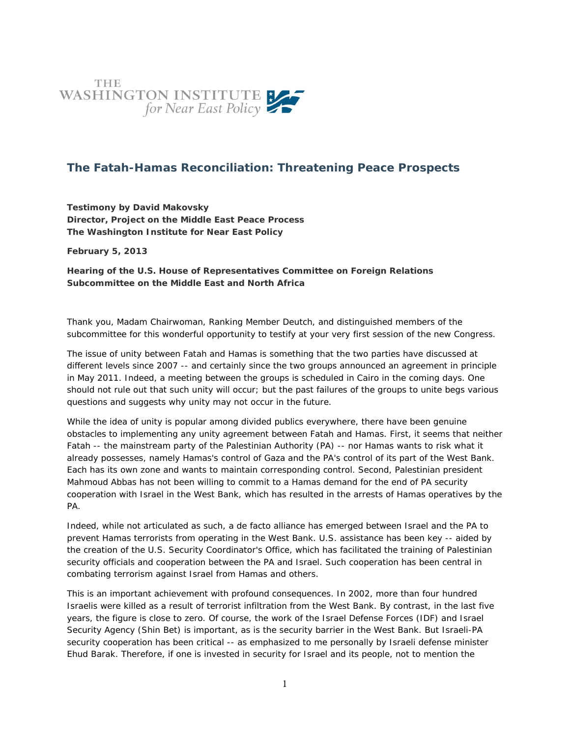

## **The Fatah-Hamas Reconciliation: Threatening Peace Prospects**

**Testimony by David Makovsky Director, Project on the Middle East Peace Process The Washington Institute for Near East Policy**

**February 5, 2013**

**Hearing of the U.S. House of Representatives Committee on Foreign Relations Subcommittee on the Middle East and North Africa**

Thank you, Madam Chairwoman, Ranking Member Deutch, and distinguished members of the subcommittee for this wonderful opportunity to testify at your very first session of the new Congress.

The issue of unity between Fatah and Hamas is something that the two parties have discussed at different levels since 2007 -- and certainly since the two groups announced an agreement in principle in May 2011. Indeed, a meeting between the groups is scheduled in Cairo in the coming days. One should not rule out that such unity will occur; but the past failures of the groups to unite begs various questions and suggests why unity may not occur in the future.

While the idea of unity is popular among divided publics everywhere, there have been genuine obstacles to implementing any unity agreement between Fatah and Hamas. First, it seems that neither Fatah -- the mainstream party of the Palestinian Authority (PA) -- nor Hamas wants to risk what it already possesses, namely Hamas's control of Gaza and the PA's control of its part of the West Bank. Each has its own zone and wants to maintain corresponding control. Second, Palestinian president Mahmoud Abbas has not been willing to commit to a Hamas demand for the end of PA security cooperation with Israel in the West Bank, which has resulted in the arrests of Hamas operatives by the PA.

Indeed, while not articulated as such, a de facto alliance has emerged between Israel and the PA to prevent Hamas terrorists from operating in the West Bank. U.S. assistance has been key -- aided by the creation of the U.S. Security Coordinator's Office, which has facilitated the training of Palestinian security officials and cooperation between the PA and Israel. Such cooperation has been central in combating terrorism against Israel from Hamas and others.

This is an important achievement with profound consequences. In 2002, more than four hundred Israelis were killed as a result of terrorist infiltration from the West Bank. By contrast, in the last five years, the figure is close to zero. Of course, the work of the Israel Defense Forces (IDF) and Israel Security Agency (Shin Bet) is important, as is the security barrier in the West Bank. But Israeli-PA security cooperation has been critical -- as emphasized to me personally by Israeli defense minister Ehud Barak. Therefore, if one is invested in security for Israel and its people, not to mention the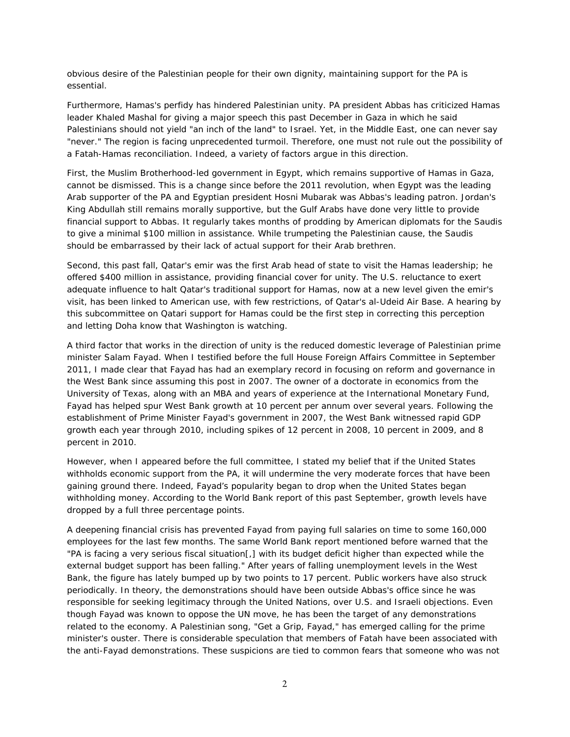obvious desire of the Palestinian people for their own dignity, maintaining support for the PA is essential.

Furthermore, Hamas's perfidy has hindered Palestinian unity. PA president Abbas has criticized Hamas leader Khaled Mashal for giving a major speech this past December in Gaza in which he said Palestinians should not yield "an inch of the land" to Israel. Yet, in the Middle East, one can never say "never." The region is facing unprecedented turmoil. Therefore, one must not rule out the possibility of a Fatah-Hamas reconciliation. Indeed, a variety of factors argue in this direction.

First, the Muslim Brotherhood-led government in Egypt, which remains supportive of Hamas in Gaza, cannot be dismissed. This is a change since before the 2011 revolution, when Egypt was the leading Arab supporter of the PA and Egyptian president Hosni Mubarak was Abbas's leading patron. Jordan's King Abdullah still remains morally supportive, but the Gulf Arabs have done very little to provide financial support to Abbas. It regularly takes months of prodding by American diplomats for the Saudis to give a minimal \$100 million in assistance. While trumpeting the Palestinian cause, the Saudis should be embarrassed by their lack of actual support for their Arab brethren.

Second, this past fall, Qatar's emir was the first Arab head of state to visit the Hamas leadership; he offered \$400 million in assistance, providing financial cover for unity. The U.S. reluctance to exert adequate influence to halt Qatar's traditional support for Hamas, now at a new level given the emir's visit, has been linked to American use, with few restrictions, of Qatar's al-Udeid Air Base. A hearing by this subcommittee on Qatari support for Hamas could be the first step in correcting this perception and letting Doha know that Washington is watching.

A third factor that works in the direction of unity is the reduced domestic leverage of Palestinian prime minister Salam Fayad. When I testified before the full House Foreign Affairs Committee in September 2011, I made clear that Fayad has had an exemplary record in focusing on reform and governance in the West Bank since assuming this post in 2007. The owner of a doctorate in economics from the University of Texas, along with an MBA and years of experience at the International Monetary Fund, Fayad has helped spur West Bank growth at 10 percent per annum over several years. Following the establishment of Prime Minister Fayad's government in 2007, the West Bank witnessed rapid GDP growth each year through 2010, including spikes of 12 percent in 2008, 10 percent in 2009, and 8 percent in 2010.

However, when I appeared before the full committee, I stated my belief that if the United States withholds economic support from the PA, it will undermine the very moderate forces that have been gaining ground there. Indeed, Fayad's popularity began to drop when the United States began withholding money. According to the World Bank report of this past September, growth levels have dropped by a full three percentage points.

A deepening financial crisis has prevented Fayad from paying full salaries on time to some 160,000 employees for the last few months. The same World Bank report mentioned before warned that the "PA is facing a very serious fiscal situation[,] with its budget deficit higher than expected while the external budget support has been falling." After years of falling unemployment levels in the West Bank, the figure has lately bumped up by two points to 17 percent. Public workers have also struck periodically. In theory, the demonstrations should have been outside Abbas's office since he was responsible for seeking legitimacy through the United Nations, over U.S. and Israeli objections. Even though Fayad was known to oppose the UN move, he has been the target of any demonstrations related to the economy. A Palestinian song, "Get a Grip, Fayad," has emerged calling for the prime minister's ouster. There is considerable speculation that members of Fatah have been associated with the anti-Fayad demonstrations. These suspicions are tied to common fears that someone who was not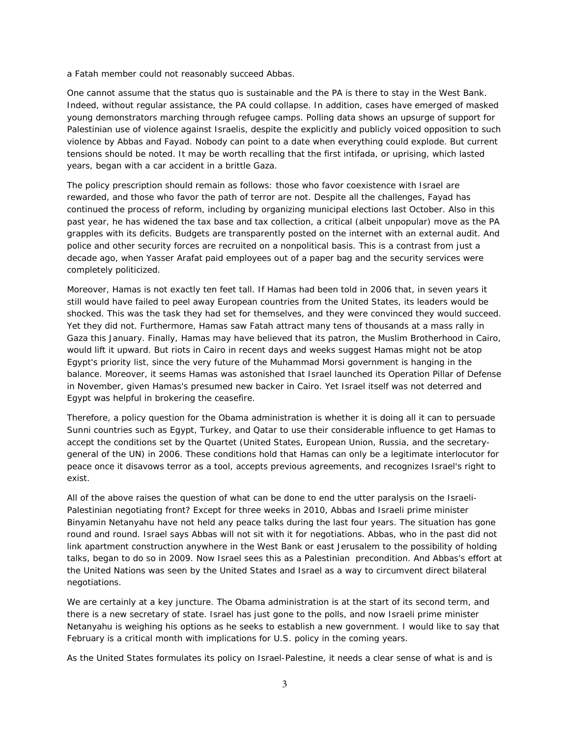a Fatah member could not reasonably succeed Abbas.

One cannot assume that the status quo is sustainable and the PA is there to stay in the West Bank. Indeed, without regular assistance, the PA could collapse. In addition, cases have emerged of masked young demonstrators marching through refugee camps. Polling data shows an upsurge of support for Palestinian use of violence against Israelis, despite the explicitly and publicly voiced opposition to such violence by Abbas and Fayad. Nobody can point to a date when everything could explode. But current tensions should be noted. It may be worth recalling that the first intifada, or uprising, which lasted years, began with a car accident in a brittle Gaza.

The policy prescription should remain as follows: those who favor coexistence with Israel are rewarded, and those who favor the path of terror are not. Despite all the challenges, Fayad has continued the process of reform, including by organizing municipal elections last October. Also in this past year, he has widened the tax base and tax collection, a critical (albeit unpopular) move as the PA grapples with its deficits. Budgets are transparently posted on the internet with an external audit. And police and other security forces are recruited on a nonpolitical basis. This is a contrast from just a decade ago, when Yasser Arafat paid employees out of a paper bag and the security services were completely politicized.

Moreover, Hamas is not exactly ten feet tall. If Hamas had been told in 2006 that, in seven years it still would have failed to peel away European countries from the United States, its leaders would be shocked. This was the task they had set for themselves, and they were convinced they would succeed. Yet they did not. Furthermore, Hamas saw Fatah attract many tens of thousands at a mass rally in Gaza this January. Finally, Hamas may have believed that its patron, the Muslim Brotherhood in Cairo, would lift it upward. But riots in Cairo in recent days and weeks suggest Hamas might not be atop Egypt's priority list, since the very future of the Muhammad Morsi government is hanging in the balance. Moreover, it seems Hamas was astonished that Israel launched its Operation Pillar of Defense in November, given Hamas's presumed new backer in Cairo. Yet Israel itself was not deterred and Egypt was helpful in brokering the ceasefire.

Therefore, a policy question for the Obama administration is whether it is doing all it can to persuade Sunni countries such as Egypt, Turkey, and Qatar to use their considerable influence to get Hamas to accept the conditions set by the Quartet (United States, European Union, Russia, and the secretarygeneral of the UN) in 2006. These conditions hold that Hamas can only be a legitimate interlocutor for peace once it disavows terror as a tool, accepts previous agreements, and recognizes Israel's right to exist.

All of the above raises the question of what can be done to end the utter paralysis on the Israeli-Palestinian negotiating front? Except for three weeks in 2010, Abbas and Israeli prime minister Binyamin Netanyahu have not held any peace talks during the last four years. The situation has gone round and round. Israel says Abbas will not sit with it for negotiations. Abbas, who in the past did not link apartment construction anywhere in the West Bank or east Jerusalem to the possibility of holding talks, began to do so in 2009. Now Israel sees this as a Palestinian precondition. And Abbas's effort at the United Nations was seen by the United States and Israel as a way to circumvent direct bilateral negotiations.

We are certainly at a key juncture. The Obama administration is at the start of its second term, and there is a new secretary of state. Israel has just gone to the polls, and now Israeli prime minister Netanyahu is weighing his options as he seeks to establish a new government. I would like to say that February is a critical month with implications for U.S. policy in the coming years.

As the United States formulates its policy on Israel-Palestine, it needs a clear sense of what is and is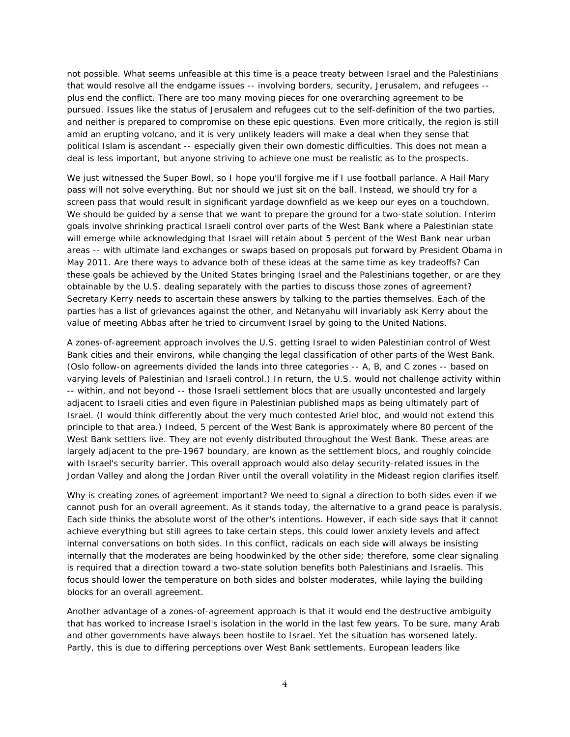not possible. What seems unfeasible at this time is a peace treaty between Israel and the Palestinians that would resolve all the endgame issues -- involving borders, security, Jerusalem, and refugees - plus end the conflict. There are too many moving pieces for one overarching agreement to be pursued. Issues like the status of Jerusalem and refugees cut to the self-definition of the two parties, and neither is prepared to compromise on these epic questions. Even more critically, the region is still amid an erupting volcano, and it is very unlikely leaders will make a deal when they sense that political Islam is ascendant -- especially given their own domestic difficulties. This does not mean a deal is less important, but anyone striving to achieve one must be realistic as to the prospects.

We just witnessed the Super Bowl, so I hope you'll forgive me if I use football parlance. A Hail Mary pass will not solve everything. But nor should we just sit on the ball. Instead, we should try for a screen pass that would result in significant yardage downfield as we keep our eyes on a touchdown. We should be guided by a sense that we want to prepare the ground for a two-state solution. Interim goals involve shrinking practical Israeli control over parts of the West Bank where a Palestinian state will emerge while acknowledging that Israel will retain about 5 percent of the West Bank near urban areas -- with ultimate land exchanges or swaps based on proposals put forward by President Obama in May 2011. Are there ways to advance both of these ideas at the same time as key tradeoffs? Can these goals be achieved by the United States bringing Israel and the Palestinians together, or are they obtainable by the U.S. dealing separately with the parties to discuss those zones of agreement? Secretary Kerry needs to ascertain these answers by talking to the parties themselves. Each of the parties has a list of grievances against the other, and Netanyahu will invariably ask Kerry about the value of meeting Abbas after he tried to circumvent Israel by going to the United Nations.

A zones-of-agreement approach involves the U.S. getting Israel to widen Palestinian control of West Bank cities and their environs, while changing the legal classification of other parts of the West Bank. (Oslo follow-on agreements divided the lands into three categories -- A, B, and C zones -- based on varying levels of Palestinian and Israeli control.) In return, the U.S. would not challenge activity within -- within, and not beyond -- those Israeli settlement blocs that are usually uncontested and largely adjacent to Israeli cities and even figure in Palestinian published maps as being ultimately part of Israel. (I would think differently about the very much contested Ariel bloc, and would not extend this principle to that area.) Indeed, 5 percent of the West Bank is approximately where 80 percent of the West Bank settlers live. They are not evenly distributed throughout the West Bank. These areas are largely adjacent to the pre-1967 boundary, are known as the settlement blocs, and roughly coincide with Israel's security barrier. This overall approach would also delay security-related issues in the Jordan Valley and along the Jordan River until the overall volatility in the Mideast region clarifies itself.

Why is creating zones of agreement important? We need to signal a direction to both sides even if we cannot push for an overall agreement. As it stands today, the alternative to a grand peace is paralysis. Each side thinks the absolute worst of the other's intentions. However, if each side says that it cannot achieve everything but still agrees to take certain steps, this could lower anxiety levels and affect internal conversations on both sides. In this conflict, radicals on each side will always be insisting internally that the moderates are being hoodwinked by the other side; therefore, some clear signaling is required that a direction toward a two-state solution benefits both Palestinians and Israelis. This focus should lower the temperature on both sides and bolster moderates, while laying the building blocks for an overall agreement.

Another advantage of a zones-of-agreement approach is that it would end the destructive ambiguity that has worked to increase Israel's isolation in the world in the last few years. To be sure, many Arab and other governments have always been hostile to Israel. Yet the situation has worsened lately. Partly, this is due to differing perceptions over West Bank settlements. European leaders like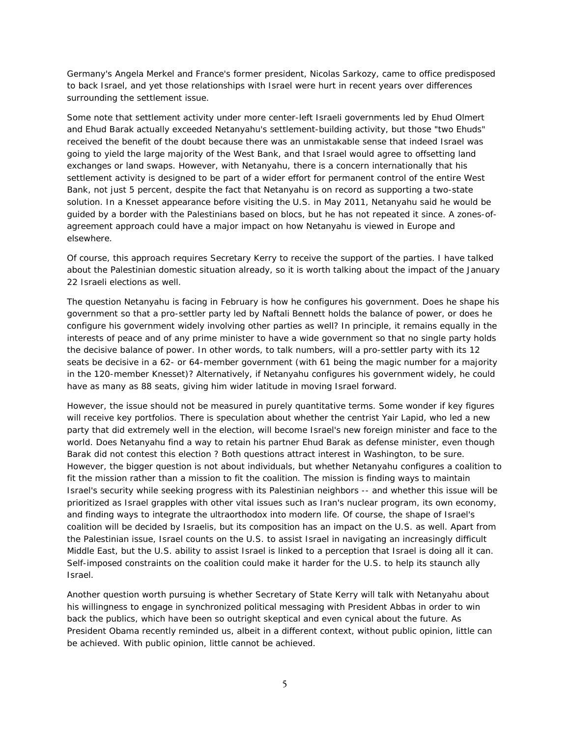Germany's Angela Merkel and France's former president, Nicolas Sarkozy, came to office predisposed to back Israel, and yet those relationships with Israel were hurt in recent years over differences surrounding the settlement issue.

Some note that settlement activity under more center-left Israeli governments led by Ehud Olmert and Ehud Barak actually exceeded Netanyahu's settlement-building activity, but those "two Ehuds" received the benefit of the doubt because there was an unmistakable sense that indeed Israel was going to yield the large majority of the West Bank, and that Israel would agree to offsetting land exchanges or land swaps. However, with Netanyahu, there is a concern internationally that his settlement activity is designed to be part of a wider effort for permanent control of the entire West Bank, not just 5 percent, despite the fact that Netanyahu is on record as supporting a two-state solution. In a Knesset appearance before visiting the U.S. in May 2011, Netanyahu said he would be guided by a border with the Palestinians based on blocs, but he has not repeated it since. A zones-ofagreement approach could have a major impact on how Netanyahu is viewed in Europe and elsewhere.

Of course, this approach requires Secretary Kerry to receive the support of the parties. I have talked about the Palestinian domestic situation already, so it is worth talking about the impact of the January 22 Israeli elections as well.

The question Netanyahu is facing in February is how he configures his government. Does he shape his government so that a pro-settler party led by Naftali Bennett holds the balance of power, or does he configure his government widely involving other parties as well? In principle, it remains equally in the interests of peace and of any prime minister to have a wide government so that no single party holds the decisive balance of power. In other words, to talk numbers, will a pro-settler party with its 12 seats be decisive in a 62- or 64-member government (with 61 being the magic number for a majority in the 120-member Knesset)? Alternatively, if Netanyahu configures his government widely, he could have as many as 88 seats, giving him wider latitude in moving Israel forward.

However, the issue should not be measured in purely quantitative terms. Some wonder if key figures will receive key portfolios. There is speculation about whether the centrist Yair Lapid, who led a new party that did extremely well in the election, will become Israel's new foreign minister and face to the world. Does Netanyahu find a way to retain his partner Ehud Barak as defense minister, even though Barak did not contest this election ? Both questions attract interest in Washington, to be sure. However, the bigger question is not about individuals, but whether Netanyahu configures a coalition to fit the mission rather than a mission to fit the coalition. The mission is finding ways to maintain Israel's security while seeking progress with its Palestinian neighbors -- and whether this issue will be prioritized as Israel grapples with other vital issues such as Iran's nuclear program, its own economy, and finding ways to integrate the ultraorthodox into modern life. Of course, the shape of Israel's coalition will be decided by Israelis, but its composition has an impact on the U.S. as well. Apart from the Palestinian issue, Israel counts on the U.S. to assist Israel in navigating an increasingly difficult Middle East, but the U.S. ability to assist Israel is linked to a perception that Israel is doing all it can. Self-imposed constraints on the coalition could make it harder for the U.S. to help its staunch ally Israel.

Another question worth pursuing is whether Secretary of State Kerry will talk with Netanyahu about his willingness to engage in synchronized political messaging with President Abbas in order to win back the publics, which have been so outright skeptical and even cynical about the future. As President Obama recently reminded us, albeit in a different context, without public opinion, little can be achieved. With public opinion, little cannot be achieved.